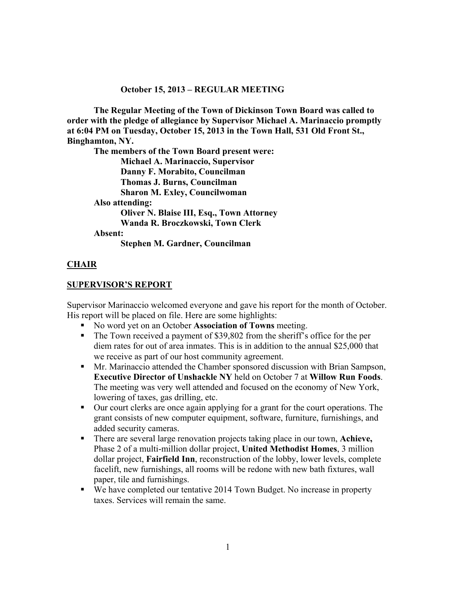#### **October 15, 2013 – REGULAR MEETING**

**The Regular Meeting of the Town of Dickinson Town Board was called to order with the pledge of allegiance by Supervisor Michael A. Marinaccio promptly at 6:04 PM on Tuesday, October 15, 2013 in the Town Hall, 531 Old Front St., Binghamton, NY.** 

**The members of the Town Board present were:** 

 **Michael A. Marinaccio, Supervisor Danny F. Morabito, Councilman** 

**Thomas J. Burns, Councilman** 

**Sharon M. Exley, Councilwoman** 

**Also attending:** 

 **Oliver N. Blaise III, Esq., Town Attorney Wanda R. Broczkowski, Town Clerk** 

**Absent:** 

**Stephen M. Gardner, Councilman** 

### **CHAIR**

#### **SUPERVISOR'S REPORT**

Supervisor Marinaccio welcomed everyone and gave his report for the month of October. His report will be placed on file. Here are some highlights:

- No word yet on an October **Association of Towns** meeting.
- The Town received a payment of \$39,802 from the sheriff's office for the per diem rates for out of area inmates. This is in addition to the annual \$25,000 that we receive as part of our host community agreement.
- Mr. Marinaccio attended the Chamber sponsored discussion with Brian Sampson, **Executive Director of Unshackle NY** held on October 7 at **Willow Run Foods**. The meeting was very well attended and focused on the economy of New York, lowering of taxes, gas drilling, etc.
- Our court clerks are once again applying for a grant for the court operations. The grant consists of new computer equipment, software, furniture, furnishings, and added security cameras.
- There are several large renovation projects taking place in our town, **Achieve,** Phase 2 of a multi-million dollar project, **United Methodist Homes**, 3 million dollar project, **Fairfield Inn**, reconstruction of the lobby, lower levels, complete facelift, new furnishings, all rooms will be redone with new bath fixtures, wall paper, tile and furnishings.
- We have completed our tentative 2014 Town Budget. No increase in property taxes. Services will remain the same.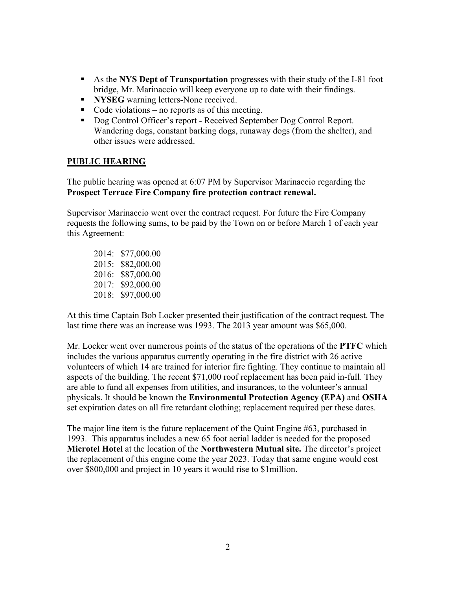- As the **NYS Dept of Transportation** progresses with their study of the I-81 foot bridge, Mr. Marinaccio will keep everyone up to date with their findings.
- **NYSEG** warning letters-None received.
- Code violations no reports as of this meeting.
- Dog Control Officer's report Received September Dog Control Report. Wandering dogs, constant barking dogs, runaway dogs (from the shelter), and other issues were addressed.

### **PUBLIC HEARING**

The public hearing was opened at 6:07 PM by Supervisor Marinaccio regarding the **Prospect Terrace Fire Company fire protection contract renewal.** 

Supervisor Marinaccio went over the contract request. For future the Fire Company requests the following sums, to be paid by the Town on or before March 1 of each year this Agreement:

2014: \$77,000.00 2015: \$82,000.00 2016: \$87,000.00 2017: \$92,000.00 2018: \$97,000.00

At this time Captain Bob Locker presented their justification of the contract request. The last time there was an increase was 1993. The 2013 year amount was \$65,000.

Mr. Locker went over numerous points of the status of the operations of the **PTFC** which includes the various apparatus currently operating in the fire district with 26 active volunteers of which 14 are trained for interior fire fighting. They continue to maintain all aspects of the building. The recent \$71,000 roof replacement has been paid in-full. They are able to fund all expenses from utilities, and insurances, to the volunteer's annual physicals. It should be known the **Environmental Protection Agency (EPA)** and **OSHA** set expiration dates on all fire retardant clothing; replacement required per these dates.

The major line item is the future replacement of the Quint Engine #63, purchased in 1993. This apparatus includes a new 65 foot aerial ladder is needed for the proposed **Microtel Hotel** at the location of the **Northwestern Mutual site.** The director's project the replacement of this engine come the year 2023. Today that same engine would cost over \$800,000 and project in 10 years it would rise to \$1million.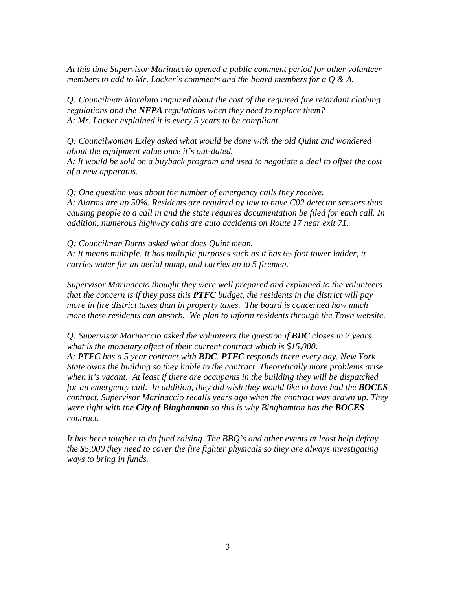*At this time Supervisor Marinaccio opened a public comment period for other volunteer members to add to Mr. Locker's comments and the board members for a Q & A.* 

*Q: Councilman Morabito inquired about the cost of the required fire retardant clothing regulations and the NFPA regulations when they need to replace them? A: Mr. Locker explained it is every 5 years to be compliant.* 

*Q: Councilwoman Exley asked what would be done with the old Quint and wondered about the equipment value once it's out-dated.* 

*A: It would be sold on a buyback program and used to negotiate a deal to offset the cost of a new apparatus.* 

*Q: One question was about the number of emergency calls they receive. A: Alarms are up 50%. Residents are required by law to have C02 detector sensors thus causing people to a call in and the state requires documentation be filed for each call. In addition, numerous highway calls are auto accidents on Route 17 near exit 71.* 

*Q: Councilman Burns asked what does Quint mean. A: It means multiple. It has multiple purposes such as it has 65 foot tower ladder, it carries water for an aerial pump, and carries up to 5 firemen.* 

*Supervisor Marinaccio thought they were well prepared and explained to the volunteers that the concern is if they pass this PTFC budget, the residents in the district will pay more in fire district taxes than in property taxes. The board is concerned how much more these residents can absorb. We plan to inform residents through the Town website.* 

*Q: Supervisor Marinaccio asked the volunteers the question if BDC closes in 2 years what is the monetary affect of their current contract which is \$15,000. A: PTFC has a 5 year contract with BDC. PTFC responds there every day. New York State owns the building so they liable to the contract. Theoretically more problems arise when it's vacant. At least if there are occupants in the building they will be dispatched for an emergency call. In addition, they did wish they would like to have had the BOCES contract. Supervisor Marinaccio recalls years ago when the contract was drawn up. They were tight with the City of Binghamton so this is why Binghamton has the BOCES contract.* 

*It has been tougher to do fund raising. The BBQ's and other events at least help defray the \$5,000 they need to cover the fire fighter physicals so they are always investigating ways to bring in funds.*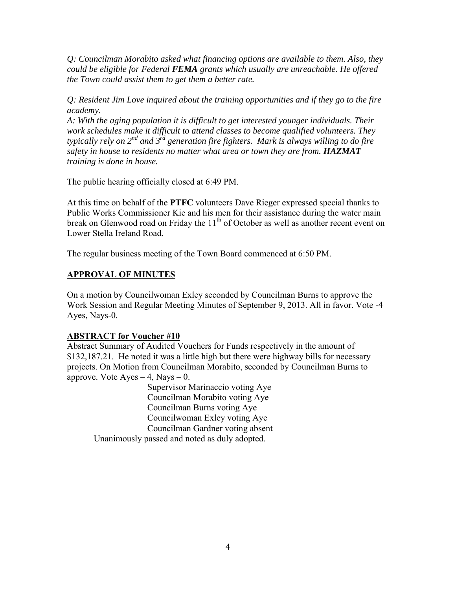*Q: Councilman Morabito asked what financing options are available to them. Also, they could be eligible for Federal FEMA grants which usually are unreachable. He offered the Town could assist them to get them a better rate.* 

*Q: Resident Jim Love inquired about the training opportunities and if they go to the fire academy.* 

*A: With the aging population it is difficult to get interested younger individuals. Their work schedules make it difficult to attend classes to become qualified volunteers. They typically rely on 2nd and 3rd generation fire fighters. Mark is always willing to do fire safety in house to residents no matter what area or town they are from. HAZMAT training is done in house.* 

The public hearing officially closed at 6:49 PM.

At this time on behalf of the **PTFC** volunteers Dave Rieger expressed special thanks to Public Works Commissioner Kie and his men for their assistance during the water main break on Glenwood road on Friday the  $11<sup>th</sup>$  of October as well as another recent event on Lower Stella Ireland Road.

The regular business meeting of the Town Board commenced at 6:50 PM.

### **APPROVAL OF MINUTES**

On a motion by Councilwoman Exley seconded by Councilman Burns to approve the Work Session and Regular Meeting Minutes of September 9, 2013. All in favor. Vote -4 Ayes, Nays-0.

### **ABSTRACT for Voucher #10**

Abstract Summary of Audited Vouchers for Funds respectively in the amount of \$132,187.21. He noted it was a little high but there were highway bills for necessary projects. On Motion from Councilman Morabito, seconded by Councilman Burns to approve. Vote  $Ayes - 4$ , Nays  $- 0$ .

 Supervisor Marinaccio voting Aye Councilman Morabito voting Aye Councilman Burns voting Aye Councilwoman Exley voting Aye Councilman Gardner voting absent Unanimously passed and noted as duly adopted.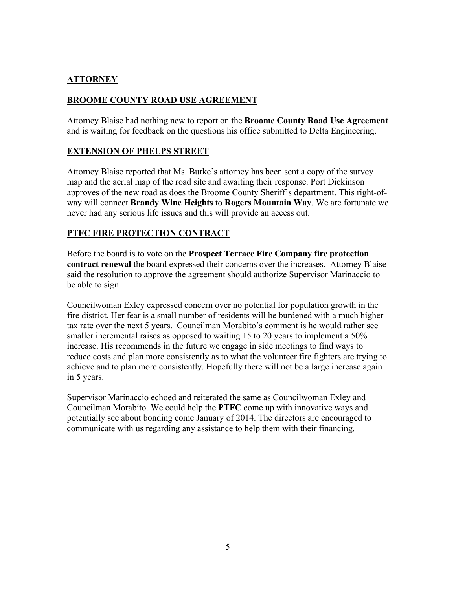# **ATTORNEY**

## **BROOME COUNTY ROAD USE AGREEMENT**

Attorney Blaise had nothing new to report on the **Broome County Road Use Agreement** and is waiting for feedback on the questions his office submitted to Delta Engineering.

### **EXTENSION OF PHELPS STREET**

Attorney Blaise reported that Ms. Burke's attorney has been sent a copy of the survey map and the aerial map of the road site and awaiting their response. Port Dickinson approves of the new road as does the Broome County Sheriff's department. This right-ofway will connect **Brandy Wine Heights** to **Rogers Mountain Way**. We are fortunate we never had any serious life issues and this will provide an access out.

### **PTFC FIRE PROTECTION CONTRACT**

Before the board is to vote on the **Prospect Terrace Fire Company fire protection contract renewal** the board expressed their concerns over the increases. Attorney Blaise said the resolution to approve the agreement should authorize Supervisor Marinaccio to be able to sign.

Councilwoman Exley expressed concern over no potential for population growth in the fire district. Her fear is a small number of residents will be burdened with a much higher tax rate over the next 5 years. Councilman Morabito's comment is he would rather see smaller incremental raises as opposed to waiting 15 to 20 years to implement a 50% increase. His recommends in the future we engage in side meetings to find ways to reduce costs and plan more consistently as to what the volunteer fire fighters are trying to achieve and to plan more consistently. Hopefully there will not be a large increase again in 5 years.

Supervisor Marinaccio echoed and reiterated the same as Councilwoman Exley and Councilman Morabito. We could help the **PTFC** come up with innovative ways and potentially see about bonding come January of 2014. The directors are encouraged to communicate with us regarding any assistance to help them with their financing.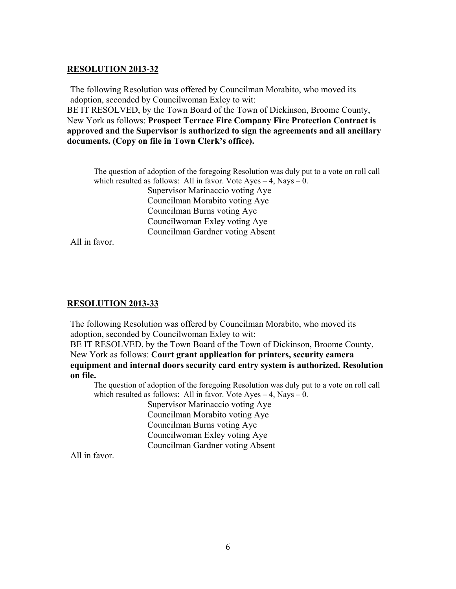#### **RESOLUTION 2013-32**

The following Resolution was offered by Councilman Morabito, who moved its adoption, seconded by Councilwoman Exley to wit:

BE IT RESOLVED, by the Town Board of the Town of Dickinson, Broome County, New York as follows: **Prospect Terrace Fire Company Fire Protection Contract is approved and the Supervisor is authorized to sign the agreements and all ancillary documents. (Copy on file in Town Clerk's office).** 

The question of adoption of the foregoing Resolution was duly put to a vote on roll call which resulted as follows: All in favor. Vote Ayes  $-4$ , Nays  $-0$ . Supervisor Marinaccio voting Aye Councilman Morabito voting Aye Councilman Burns voting Aye Councilwoman Exley voting Aye Councilman Gardner voting Absent

All in favor.

#### **RESOLUTION 2013-33**

The following Resolution was offered by Councilman Morabito, who moved its adoption, seconded by Councilwoman Exley to wit:

BE IT RESOLVED, by the Town Board of the Town of Dickinson, Broome County, New York as follows: **Court grant application for printers, security camera equipment and internal doors security card entry system is authorized. Resolution on file.**

The question of adoption of the foregoing Resolution was duly put to a vote on roll call which resulted as follows: All in favor. Vote Ayes  $-4$ , Nays  $-0$ .

> Supervisor Marinaccio voting Aye Councilman Morabito voting Aye Councilman Burns voting Aye Councilwoman Exley voting Aye Councilman Gardner voting Absent

All in favor.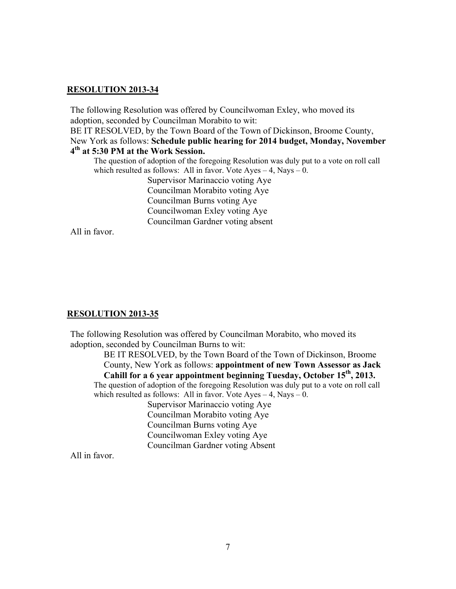#### **RESOLUTION 2013-34**

The following Resolution was offered by Councilwoman Exley, who moved its adoption, seconded by Councilman Morabito to wit: BE IT RESOLVED, by the Town Board of the Town of Dickinson, Broome County, New York as follows: **Schedule public hearing for 2014 budget, Monday, November 4th at 5:30 PM at the Work Session.** The question of adoption of the foregoing Resolution was duly put to a vote on roll call which resulted as follows: All in favor. Vote Ayes  $-4$ , Nays  $-0$ .

 Supervisor Marinaccio voting Aye Councilman Morabito voting Aye Councilman Burns voting Aye Councilwoman Exley voting Aye Councilman Gardner voting absent

All in favor.

#### **RESOLUTION 2013-35**

The following Resolution was offered by Councilman Morabito, who moved its adoption, seconded by Councilman Burns to wit:

BE IT RESOLVED, by the Town Board of the Town of Dickinson, Broome County, New York as follows: **appointment of new Town Assessor as Jack**  Cahill for a 6 year appointment beginning Tuesday, October 15<sup>th</sup>, 2013.

The question of adoption of the foregoing Resolution was duly put to a vote on roll call which resulted as follows: All in favor. Vote Ayes  $-4$ , Nays  $-0$ .

 Supervisor Marinaccio voting Aye Councilman Morabito voting Aye Councilman Burns voting Aye Councilwoman Exley voting Aye Councilman Gardner voting Absent

All in favor.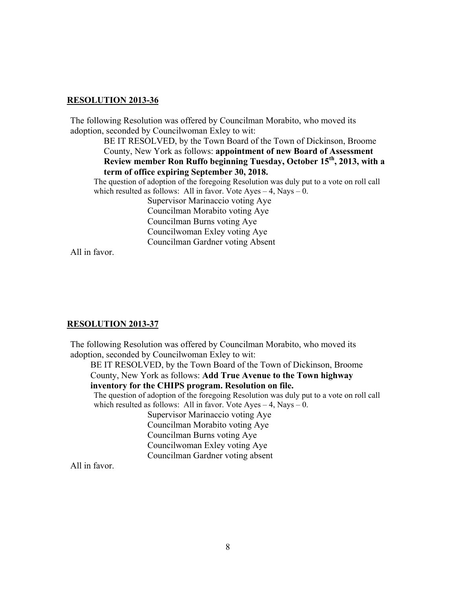#### **RESOLUTION 2013-36**

The following Resolution was offered by Councilman Morabito, who moved its adoption, seconded by Councilwoman Exley to wit:

> BE IT RESOLVED, by the Town Board of the Town of Dickinson, Broome County, New York as follows: **appointment of new Board of Assessment Review member Ron Ruffo beginning Tuesday, October 15th, 2013, with a term of office expiring September 30, 2018.**

The question of adoption of the foregoing Resolution was duly put to a vote on roll call which resulted as follows: All in favor. Vote  $Ayes - 4$ , Nays  $- 0$ .

> Supervisor Marinaccio voting Aye Councilman Morabito voting Aye Councilman Burns voting Aye Councilwoman Exley voting Aye Councilman Gardner voting Absent

All in favor.

#### **RESOLUTION 2013-37**

The following Resolution was offered by Councilman Morabito, who moved its adoption, seconded by Councilwoman Exley to wit:

BE IT RESOLVED, by the Town Board of the Town of Dickinson, Broome County, New York as follows: **Add True Avenue to the Town highway inventory for the CHIPS program. Resolution on file.** 

The question of adoption of the foregoing Resolution was duly put to a vote on roll call which resulted as follows: All in favor. Vote Ayes  $-4$ , Nays  $-0$ .

> Supervisor Marinaccio voting Aye Councilman Morabito voting Aye Councilman Burns voting Aye Councilwoman Exley voting Aye Councilman Gardner voting absent

All in favor.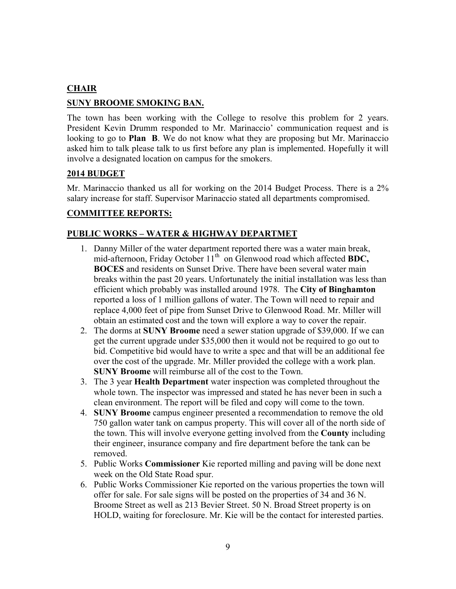### **CHAIR**

### **SUNY BROOME SMOKING BAN.**

The town has been working with the College to resolve this problem for 2 years. President Kevin Drumm responded to Mr. Marinaccio' communication request and is looking to go to **Plan B**. We do not know what they are proposing but Mr. Marinaccio asked him to talk please talk to us first before any plan is implemented. Hopefully it will involve a designated location on campus for the smokers.

#### **2014 BUDGET**

Mr. Marinaccio thanked us all for working on the 2014 Budget Process. There is a 2% salary increase for staff. Supervisor Marinaccio stated all departments compromised.

### **COMMITTEE REPORTS:**

### **PUBLIC WORKS – WATER & HIGHWAY DEPARTMET**

- 1. Danny Miller of the water department reported there was a water main break, mid-afternoon, Friday October 11<sup>th</sup> on Glenwood road which affected **BDC**, **BOCES** and residents on Sunset Drive. There have been several water main breaks within the past 20 years. Unfortunately the initial installation was less than efficient which probably was installed around 1978. The **City of Binghamton** reported a loss of 1 million gallons of water. The Town will need to repair and replace 4,000 feet of pipe from Sunset Drive to Glenwood Road. Mr. Miller will obtain an estimated cost and the town will explore a way to cover the repair.
- 2. The dorms at **SUNY Broome** need a sewer station upgrade of \$39,000. If we can get the current upgrade under \$35,000 then it would not be required to go out to bid. Competitive bid would have to write a spec and that will be an additional fee over the cost of the upgrade. Mr. Miller provided the college with a work plan. **SUNY Broome** will reimburse all of the cost to the Town.
- 3. The 3 year **Health Department** water inspection was completed throughout the whole town. The inspector was impressed and stated he has never been in such a clean environment. The report will be filed and copy will come to the town.
- 4. **SUNY Broome** campus engineer presented a recommendation to remove the old 750 gallon water tank on campus property. This will cover all of the north side of the town. This will involve everyone getting involved from the **County** including their engineer, insurance company and fire department before the tank can be removed.
- 5. Public Works **Commissioner** Kie reported milling and paving will be done next week on the Old State Road spur.
- 6. Public Works Commissioner Kie reported on the various properties the town will offer for sale. For sale signs will be posted on the properties of 34 and 36 N. Broome Street as well as 213 Bevier Street. 50 N. Broad Street property is on HOLD, waiting for foreclosure. Mr. Kie will be the contact for interested parties.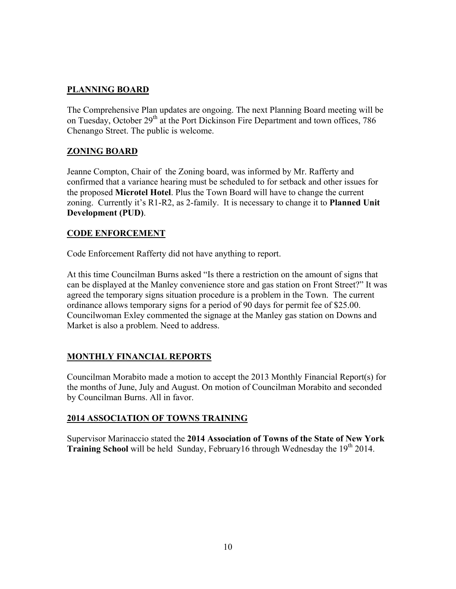# **PLANNING BOARD**

The Comprehensive Plan updates are ongoing. The next Planning Board meeting will be on Tuesday, October 29<sup>th</sup> at the Port Dickinson Fire Department and town offices, 786 Chenango Street. The public is welcome.

# **ZONING BOARD**

Jeanne Compton, Chair of the Zoning board, was informed by Mr. Rafferty and confirmed that a variance hearing must be scheduled to for setback and other issues for the proposed **Microtel Hotel**. Plus the Town Board will have to change the current zoning. Currently it's R1-R2, as 2-family. It is necessary to change it to **Planned Unit Development (PUD)**.

### **CODE ENFORCEMENT**

Code Enforcement Rafferty did not have anything to report.

At this time Councilman Burns asked "Is there a restriction on the amount of signs that can be displayed at the Manley convenience store and gas station on Front Street?" It was agreed the temporary signs situation procedure is a problem in the Town. The current ordinance allows temporary signs for a period of 90 days for permit fee of \$25.00. Councilwoman Exley commented the signage at the Manley gas station on Downs and Market is also a problem. Need to address.

### **MONTHLY FINANCIAL REPORTS**

Councilman Morabito made a motion to accept the 2013 Monthly Financial Report(s) for the months of June, July and August. On motion of Councilman Morabito and seconded by Councilman Burns. All in favor.

### **2014 ASSOCIATION OF TOWNS TRAINING**

Supervisor Marinaccio stated the **2014 Association of Towns of the State of New York Training School** will be held Sunday, February16 through Wednesday the 19<sup>th</sup> 2014.